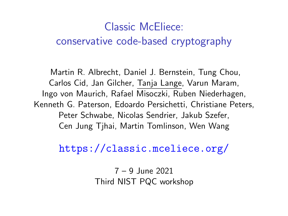# Classic McEliece: conservative code-based cryptography

Martin R. Albrecht, Daniel J. Bernstein, Tung Chou, Carlos Cid, Jan Gilcher, Tanja Lange, Varun Maram, Ingo von Maurich, Rafael Misoczki, Ruben Niederhagen, Kenneth G. Paterson, Edoardo Persichetti, Christiane Peters, Peter Schwabe, Nicolas Sendrier, Jakub Szefer, Cen Jung Tjhai, Martin Tomlinson, Wen Wang

<https://classic.mceliece.org/>

7 – 9 June 2021 Third NIST PQC workshop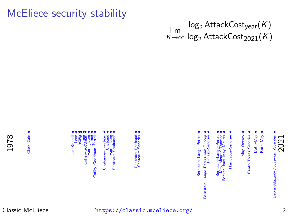McEliece security stability

lim K→∞ log<sub>2</sub> AttackCost<sub>year</sub>(*K*)  $\log_2$  Attack $\mathsf{Cost}_{2021}(\mathsf{K})$ 

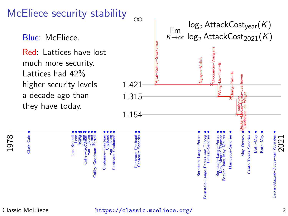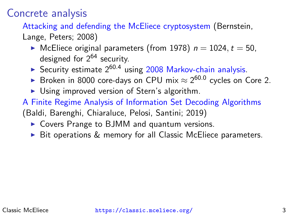Concrete analysis

[Attacking and defending the McEliece cryptosystem](https://www.hyperelliptic.org/tanja/press/mceliece.html) (Bernstein,

Lange, Peters; 2008)

- $\blacktriangleright$  McEliece original parameters (from 1978)  $n = 1024$ ,  $t = 50$ . designed for  $2^{64}$  security.
- Security estimate  $2^{60.4}$  using [2008 Markov-chain analysis.](https://github.com/christianepeters/isdf2/)
- ► Broken in 8000 core-days on CPU mix  $\approx 2^{60.0}$  cycles on Core 2.
- $\triangleright$  Using improved version of Stern's algorithm.
- [A Finite Regime Analysis of Information Set Decoding Algorithms](https://www.mdpi.com/1999-4893/12/10/209/pdf) (Baldi, Barenghi, Chiaraluce, Pelosi, Santini; 2019)
	- $\triangleright$  Covers Prange to BJMM and quantum versions.
	- $\triangleright$  Bit operations & memory for all Classic McEliece parameters.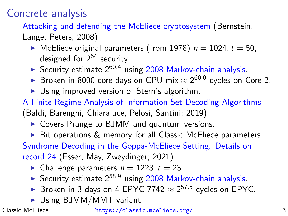Concrete analysis

[Attacking and defending the McEliece cryptosystem](https://www.hyperelliptic.org/tanja/press/mceliece.html) (Bernstein,

Lange, Peters; 2008)

- $\blacktriangleright$  McEliece original parameters (from 1978)  $n = 1024$ ,  $t = 50$ . designed for  $2^{64}$  security.
- Security estimate  $2^{60.4}$  using [2008 Markov-chain analysis.](https://github.com/christianepeters/isdf2/)
- ► Broken in 8000 core-days on CPU mix  $\approx 2^{60.0}$  cycles on Core 2.
- $\triangleright$  Using improved version of Stern's algorithm.
- [A Finite Regime Analysis of Information Set Decoding Algorithms](https://www.mdpi.com/1999-4893/12/10/209/pdf) (Baldi, Barenghi, Chiaraluce, Pelosi, Santini; 2019)
	- $\triangleright$  Covers Prange to BJMM and quantum versions.
	- $\triangleright$  Bit operations & memory for all Classic McEliece parameters.

[Syndrome Decoding in the Goppa-McEliece Setting. Details on](https://decodingchallenge.org/goppa/record/24) [record 24](https://decodingchallenge.org/goppa/record/24) (Esser, May, Zweydinger; 2021)

- Challenge parameters  $n = 1223$ ,  $t = 23$ .
- Security estimate  $2^{58.9}$  using [2008 Markov-chain analysis.](https://github.com/christianepeters/isdf2/)
- ► Broken in 3 days on 4 EPYC 7742  $\approx 2^{57.5}$  cycles on EPYC.
- $\triangleright$  Using BJMM/MMT variant.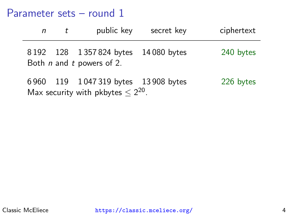#### Parameter sets – round 1

Max security with pkbytes  $\leq 2^{20}$ .

| n | public key                                                                    | secret key | ciphertext |
|---|-------------------------------------------------------------------------------|------------|------------|
|   | 8192 128 1357824 bytes 14080 bytes<br>Both <i>n</i> and <i>t</i> powers of 2. |            | 240 bytes  |
|   | 6960 119 1047319 bytes 13908 bytes                                            |            | 226 bytes  |

Classic McEliece <https://classic.mceliece.org/> 4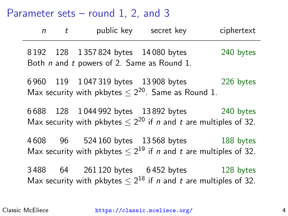#### Parameter sets – round 1, 2, and 3

| $n$ t |                                                                                  | public key secret key                                                                                                                  | ciphertext |
|-------|----------------------------------------------------------------------------------|----------------------------------------------------------------------------------------------------------------------------------------|------------|
|       | 8192 128 1357824 bytes 14080 bytes<br>Both n and t powers of 2. Same as Round 1. |                                                                                                                                        | 240 bytes  |
|       |                                                                                  | 6960 119 1047319 bytes 13908 bytes 226 bytes<br>Max security with pkbytes $\leq 2^{20}$ . Same as Round 1.                             |            |
|       |                                                                                  | 6688 128 1044 992 bytes 13892 bytes 240 bytes<br>Max security with pkbytes $\leq 2^{20}$ if <i>n</i> and <i>t</i> are multiples of 32. |            |
|       |                                                                                  | 4608 96 524160 bytes 13568 bytes 188 bytes<br>Max security with pkbytes $\leq 2^{19}$ if <i>n</i> and <i>t</i> are multiples of 32.    |            |
|       |                                                                                  | 3488 64 261120 bytes 6452 bytes 128 bytes<br>Max security with pkbytes $\leq 2^{18}$ if <i>n</i> and <i>t</i> are multiples of 32.     |            |

Classic McEliece <https://classic.mceliece.org/> 4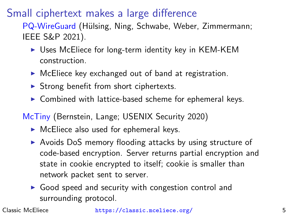# Small ciphertext makes a large difference

[PQ-WireGuard](https://eprint.iacr.org/2020/379) (Hülsing, Ning, Schwabe, Weber, Zimmermann; IEEE S&P 2021).

- $\triangleright$  Uses McEliece for long-term identity key in KEM-KEM construction.
- $\triangleright$  McEliece key exchanged out of band at registration.
- $\triangleright$  Strong benefit from short ciphertexts.
- $\triangleright$  Combined with lattice-based scheme for ephemeral keys.

[McTiny](https://mctiny.org/) (Bernstein, Lange; USENIX Security 2020)

- $\triangleright$  McEliece also used for ephemeral keys.
- $\triangleright$  Avoids DoS memory flooding attacks by using structure of code-based encryption. Server returns partial encryption and state in cookie encrypted to itself; cookie is smaller than network packet sent to server.
- $\triangleright$  Good speed and security with congestion control and surrounding protocol.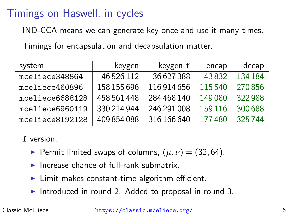## Timings on Haswell, in cycles

IND-CCA means we can generate key once and use it many times.

Timings for encapsulation and decapsulation matter.

| system          | keygen      | keygen f    | encap   | decap   |
|-----------------|-------------|-------------|---------|---------|
| mceliece348864  | 46 5 26 112 | 36 627 388  | 43832   | 134 184 |
| mceliece460896  | 158 155 696 | 116 914 656 | 115540  | 270856  |
| mceliece6688128 | 458 561 448 | 284 468 140 | 149080  | 322988  |
| mceliece6960119 | 330 214 944 | 246 291 008 | 159 116 | 300 688 |
| mceliece8192128 | 409 854 088 | 316 166 640 | 177480  | 325744  |

f version:

- **Permit limited swaps of columns,**  $(\mu, \nu) = (32, 64)$ .
- Increase chance of full-rank submatrix.
- $\blacktriangleright$  Limit makes constant-time algorithm efficient.
- Introduced in round 2. Added to proposal in round 3.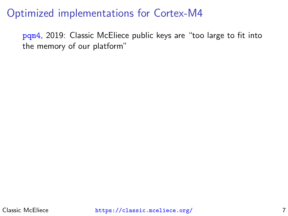#### Optimized implementations for Cortex-M4

[pqm4](https://eprint.iacr.org/2019/844), 2019: Classic McEliece public keys are "too large to fit into the memory of our platform"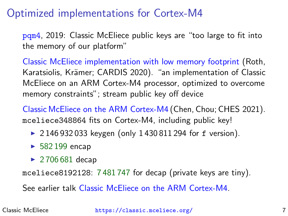## Optimized implementations for Cortex-M4

[pqm4](https://eprint.iacr.org/2019/844), 2019: Classic McEliece public keys are "too large to fit into the memory of our platform"

[Classic McEliece implementation with low memory footprint](https://eprint.iacr.org/2021/138) (Roth, Karatsiolis, Krämer; CARDIS 2020). "an implementation of Classic McEliece on an ARM Cortex-M4 processor, optimized to overcome memory constraints"; stream public key off device

[Classic McEliece on the ARM Cortex-M4](https://eprint.iacr.org/2021/492) (Chen, Chou; CHES 2021). mceliece348864 fits on Cortex-M4, including public key!

- $\triangleright$  2 146 932 033 keygen (only 1 430 811 294 for f version).
- $\blacktriangleright$  582 199 encap
- $\triangleright$  2706 681 decap

mceliece8192128: 7 481 747 for decap (private keys are tiny).

See earlier talk [Classic McEliece on the ARM Cortex-M4.](https://csrc.nist.gov/CSRC/media/Events/third-pqc-standardization-conference/documents/accepted-papers/chou-classic-mceliece-pqc2021.pdf)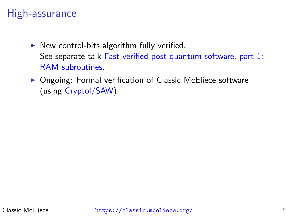## High-assurance

- $\triangleright$  New control-bits algorithm fully verified. See separate talk [Fast verified post-quantum software, part 1:](https://csrc.nist.gov/CSRC/media/Events/third-pqc-standardization-conference/documents/accepted-papers/bernstein-fast-verified-pq-software-pqc2021.pdf) [RAM subroutines.](https://csrc.nist.gov/CSRC/media/Events/third-pqc-standardization-conference/documents/accepted-papers/bernstein-fast-verified-pq-software-pqc2021.pdf)
- ▶ Ongoing: Formal verification of Classic McEliece software (using [Cryptol/SAW\)](https://saw.galois.com/).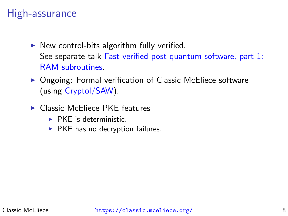## High-assurance

- $\triangleright$  New control-bits algorithm fully verified. See separate talk [Fast verified post-quantum software, part 1:](https://csrc.nist.gov/CSRC/media/Events/third-pqc-standardization-conference/documents/accepted-papers/bernstein-fast-verified-pq-software-pqc2021.pdf) [RAM subroutines.](https://csrc.nist.gov/CSRC/media/Events/third-pqc-standardization-conference/documents/accepted-papers/bernstein-fast-verified-pq-software-pqc2021.pdf)
- ▶ Ongoing: Formal verification of Classic McEliece software (using [Cryptol/SAW\)](https://saw.galois.com/).
- $\blacktriangleright$  Classic McEliece PKE features
	- $\triangleright$  PKF is deterministic.
	- $\triangleright$  PKE has no decryption failures.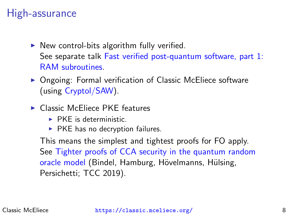## High-assurance

- $\triangleright$  New control-bits algorithm fully verified. See separate talk [Fast verified post-quantum software, part 1:](https://csrc.nist.gov/CSRC/media/Events/third-pqc-standardization-conference/documents/accepted-papers/bernstein-fast-verified-pq-software-pqc2021.pdf) [RAM subroutines.](https://csrc.nist.gov/CSRC/media/Events/third-pqc-standardization-conference/documents/accepted-papers/bernstein-fast-verified-pq-software-pqc2021.pdf)
- ▶ Ongoing: Formal verification of Classic McEliece software (using [Cryptol/SAW\)](https://saw.galois.com/).
- $\blacktriangleright$  Classic McEliece PKE features
	- $\triangleright$  PKF is deterministic.
	- $\triangleright$  PKE has no decryption failures.

This means the simplest and tightest proofs for FO apply. See [Tighter proofs of CCA security in the quantum random](https://eprint.iacr.org/2019/590) [oracle model](https://eprint.iacr.org/2019/590) (Bindel, Hamburg, Hövelmanns, Hülsing, Persichetti; TCC 2019).